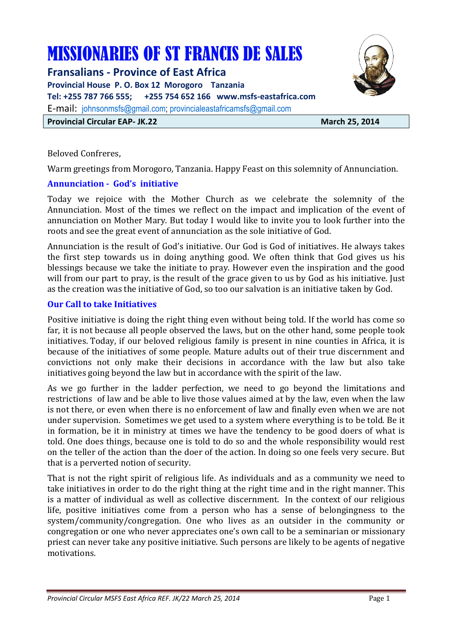# MISSIONARIES OF ST FRANCIS DE SALES

**Fransalians - Province of East Africa** 

**Provincial House P. O. Box 12 Morogoro Tanzania Tel: +255 787 766 555; +255 754 652 166 www.msfs-eastafrica.com** 

E-mail: johnsonmsfs@gmail.com; provincialeastafricamsfs@gmail.com

**Provincial Circular EAP- JK.22** March 25, 2014

Beloved Confreres,

Warm greetings from Morogoro, Tanzania. Happy Feast on this solemnity of Annunciation.

## **Annunciation - God's initiative**

Today we rejoice with the Mother Church as we celebrate the solemnity of the Annunciation. Most of the times we reflect on the impact and implication of the event of annunciation on Mother Mary. But today I would like to invite you to look further into the roots and see the great event of annunciation as the sole initiative of God.

Annunciation is the result of God's initiative. Our God is God of initiatives. He always takes the first step towards us in doing anything good. We often think that God gives us his blessings because we take the initiate to pray. However even the inspiration and the good will from our part to pray, is the result of the grace given to us by God as his initiative. Just as the creation was the initiative of God, so too our salvation is an initiative taken by God.

## **Our Call to take Initiatives**

Positive initiative is doing the right thing even without being told. If the world has come so far, it is not because all people observed the laws, but on the other hand, some people took initiatives. Today, if our beloved religious family is present in nine counties in Africa, it is because of the initiatives of some people. Mature adults out of their true discernment and convictions not only make their decisions in accordance with the law but also take initiatives going beyond the law but in accordance with the spirit of the law.

As we go further in the ladder perfection, we need to go beyond the limitations and restrictions of law and be able to live those values aimed at by the law, even when the law is not there, or even when there is no enforcement of law and finally even when we are not under supervision. Sometimes we get used to a system where everything is to be told. Be it in formation, be it in ministry at times we have the tendency to be good doers of what is told. One does things, because one is told to do so and the whole responsibility would rest on the teller of the action than the doer of the action. In doing so one feels very secure. But that is a perverted notion of security.

That is not the right spirit of religious life. As individuals and as a community we need to take initiatives in order to do the right thing at the right time and in the right manner. This is a matter of individual as well as collective discernment. In the context of our religious life, positive initiatives come from a person who has a sense of belongingness to the system/community/congregation. One who lives as an outsider in the community or congregation or one who never appreciates one's own call to be a seminarian or missionary priest can never take any positive initiative. Such persons are likely to be agents of negative motivations.

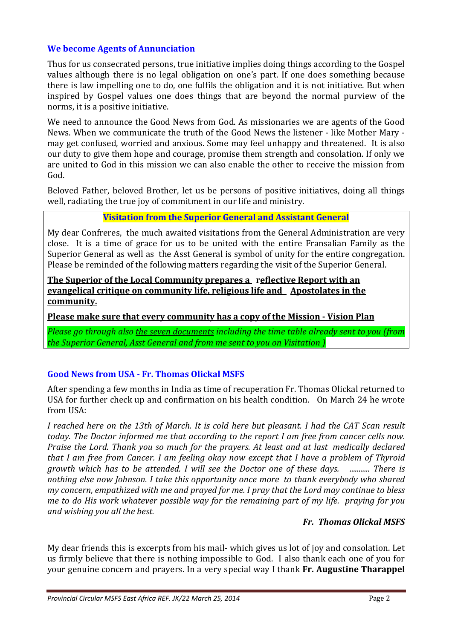## **We become Agents of Annunciation**

Thus for us consecrated persons, true initiative implies doing things according to the Gospel values although there is no legal obligation on one's part. If one does something because there is law impelling one to do, one fulfils the obligation and it is not initiative. But when inspired by Gospel values one does things that are beyond the normal purview of the norms, it is a positive initiative.

We need to announce the Good News from God. As missionaries we are agents of the Good News. When we communicate the truth of the Good News the listener - like Mother Mary may get confused, worried and anxious. Some may feel unhappy and threatened. It is also our duty to give them hope and courage, promise them strength and consolation. If only we are united to God in this mission we can also enable the other to receive the mission from God.

Beloved Father, beloved Brother, let us be persons of positive initiatives, doing all things well, radiating the true joy of commitment in our life and ministry.

### **Visitation from the Superior General and Assistant General**

My dear Confreres, the much awaited visitations from the General Administration are very close. It is a time of grace for us to be united with the entire Fransalian Family as the Superior General as well as the Asst General is symbol of unity for the entire congregation. Please be reminded of the following matters regarding the visit of the Superior General.

#### **The Superior of the Local Community prepares a reflective Report with an evangelical critique on community life, religious life and Apostolates in the community.**

**Please make sure that every community has a copy of the Mission - Vision Plan**

*Please go through also the seven documents including the time table already sent to you (from the Superior General, Asst General and from me sent to you on Visitation )* 

## **Good News from USA - Fr. Thomas Olickal MSFS**

After spending a few months in India as time of recuperation Fr. Thomas Olickal returned to USA for further check up and confirmation on his health condition. On March 24 he wrote from USA:

*I reached here on the 13th of March. It is cold here but pleasant. I had the CAT Scan result today. The Doctor informed me that according to the report I am free from cancer cells now. Praise the Lord. Thank you so much for the prayers. At least and at last medically declared that I am free from Cancer. I am feeling okay now except that I have a problem of Thyroid growth which has to be attended. I will see the Doctor one of these days. ........... There is nothing else now Johnson. I take this opportunity once more to thank everybody who shared my concern, empathized with me and prayed for me. I pray that the Lord may continue to bless me to do His work whatever possible way for the remaining part of my life. praying for you and wishing you all the best.* 

### *Fr. Thomas Olickal MSFS*

My dear friends this is excerpts from his mail- which gives us lot of joy and consolation. Let us firmly believe that there is nothing impossible to God. I also thank each one of you for your genuine concern and prayers. In a very special way I thank **Fr. Augustine Tharappel**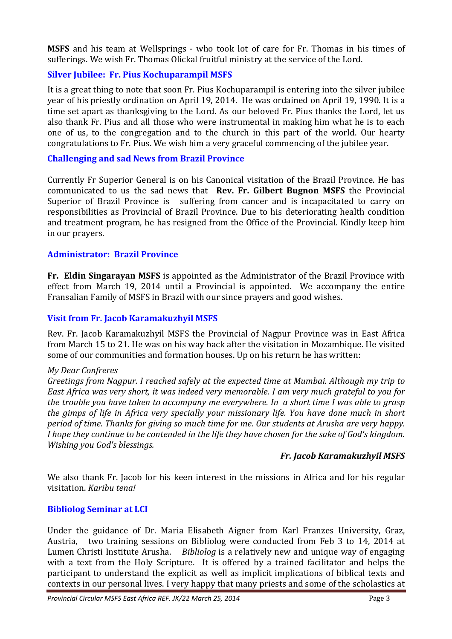**MSFS** and his team at Wellsprings - who took lot of care for Fr. Thomas in his times of sufferings. We wish Fr. Thomas Olickal fruitful ministry at the service of the Lord.

## **Silver Jubilee: Fr. Pius Kochuparampil MSFS**

It is a great thing to note that soon Fr. Pius Kochuparampil is entering into the silver jubilee year of his priestly ordination on April 19, 2014. He was ordained on April 19, 1990. It is a time set apart as thanksgiving to the Lord. As our beloved Fr. Pius thanks the Lord, let us also thank Fr. Pius and all those who were instrumental in making him what he is to each one of us, to the congregation and to the church in this part of the world. Our hearty congratulations to Fr. Pius. We wish him a very graceful commencing of the jubilee year.

#### **Challenging and sad News from Brazil Province**

Currently Fr Superior General is on his Canonical visitation of the Brazil Province. He has communicated to us the sad news that **Rev. Fr. Gilbert Bugnon MSFS** the Provincial Superior of Brazil Province is suffering from cancer and is incapacitated to carry on responsibilities as Provincial of Brazil Province. Due to his deteriorating health condition and treatment program, he has resigned from the Office of the Provincial. Kindly keep him in our prayers.

### **Administrator: Brazil Province**

**Fr. Eldin Singarayan MSFS** is appointed as the Administrator of the Brazil Province with effect from March 19, 2014 until a Provincial is appointed. We accompany the entire Fransalian Family of MSFS in Brazil with our since prayers and good wishes.

#### **Visit from Fr. Jacob Karamakuzhyil MSFS**

Rev. Fr. Jacob Karamakuzhyil MSFS the Provincial of Nagpur Province was in East Africa from March 15 to 21. He was on his way back after the visitation in Mozambique. He visited some of our communities and formation houses. Up on his return he has written:

#### *My Dear Confreres*

*Greetings from Nagpur. I reached safely at the expected time at Mumbai. Although my trip to East Africa was very short, it was indeed very memorable. I am very much grateful to you for the trouble you have taken to accompany me everywhere. In a short time I was able to grasp the gimps of life in Africa very specially your missionary life. You have done much in short period of time. Thanks for giving so much time for me. Our students at Arusha are very happy. I hope they continue to be contended in the life they have chosen for the sake of God's kingdom. Wishing you God's blessings.*

#### *Fr. Jacob Karamakuzhyil MSFS*

We also thank Fr. Jacob for his keen interest in the missions in Africa and for his regular visitation. *Karibu tena!*

### **Bibliolog Seminar at LCI**

Under the guidance of Dr. Maria Elisabeth Aigner from Karl Franzes University, Graz, Austria, two training sessions on Bibliolog were conducted from Feb 3 to 14, 2014 at Lumen Christi Institute Arusha. *Bibliolog* is a relatively new and unique way of engaging with a text from the Holy Scripture. It is offered by a trained facilitator and helps the participant to understand the explicit as well as implicit implications of biblical texts and contexts in our personal lives. I very happy that many priests and some of the scholastics at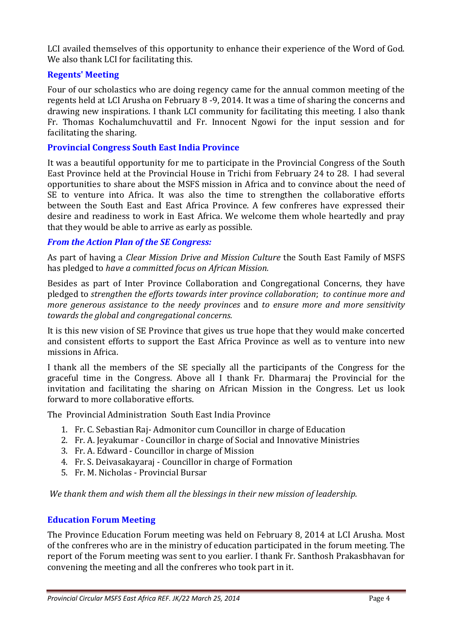LCI availed themselves of this opportunity to enhance their experience of the Word of God. We also thank LCI for facilitating this.

## **Regents' Meeting**

Four of our scholastics who are doing regency came for the annual common meeting of the regents held at LCI Arusha on February 8 -9, 2014. It was a time of sharing the concerns and drawing new inspirations. I thank LCI community for facilitating this meeting. I also thank Fr. Thomas Kochalumchuvattil and Fr. Innocent Ngowi for the input session and for facilitating the sharing.

#### **Provincial Congress South East India Province**

It was a beautiful opportunity for me to participate in the Provincial Congress of the South East Province held at the Provincial House in Trichi from February 24 to 28. I had several opportunities to share about the MSFS mission in Africa and to convince about the need of SE to venture into Africa. It was also the time to strengthen the collaborative efforts between the South East and East Africa Province. A few confreres have expressed their desire and readiness to work in East Africa. We welcome them whole heartedly and pray that they would be able to arrive as early as possible.

### *From the Action Plan of the SE Congress:*

As part of having a *Clear Mission Drive and Mission Culture* the South East Family of MSFS has pledged to *have a committed focus on African Mission.*

Besides as part of Inter Province Collaboration and Congregational Concerns, they have pledged to *strengthen the efforts towards inter province collaboration*; *to continue more and more generous assistance to the needy provinces* and *to ensure more and more sensitivity towards the global and congregational concerns.* 

It is this new vision of SE Province that gives us true hope that they would make concerted and consistent efforts to support the East Africa Province as well as to venture into new missions in Africa.

I thank all the members of the SE specially all the participants of the Congress for the graceful time in the Congress. Above all I thank Fr. Dharmaraj the Provincial for the invitation and facilitating the sharing on African Mission in the Congress. Let us look forward to more collaborative efforts.

The Provincial Administration South East India Province

- 1. Fr. C. Sebastian Raj- Admonitor cum Councillor in charge of Education
- 2. Fr. A. Jeyakumar Councillor in charge of Social and Innovative Ministries
- 3. Fr. A. Edward Councillor in charge of Mission
- 4. Fr. S. Deivasakayaraj Councillor in charge of Formation
- 5. Fr. M. Nicholas Provincial Bursar

 *We thank them and wish them all the blessings in their new mission of leadership.* 

## **Education Forum Meeting**

The Province Education Forum meeting was held on February 8, 2014 at LCI Arusha. Most of the confreres who are in the ministry of education participated in the forum meeting. The report of the Forum meeting was sent to you earlier. I thank Fr. Santhosh Prakasbhavan for convening the meeting and all the confreres who took part in it.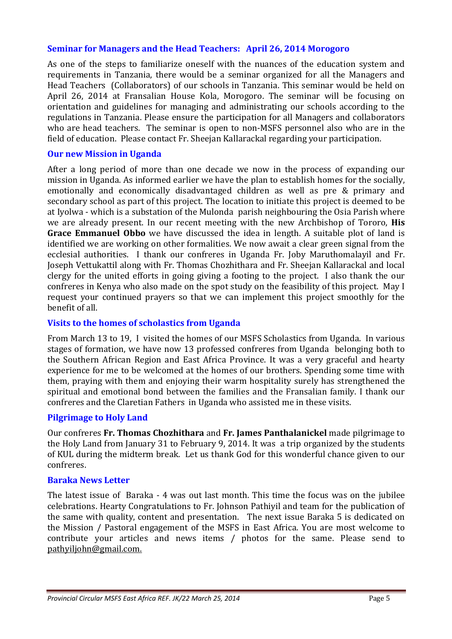## **Seminar for Managers and the Head Teachers: April 26, 2014 Morogoro**

As one of the steps to familiarize oneself with the nuances of the education system and requirements in Tanzania, there would be a seminar organized for all the Managers and Head Teachers (Collaborators) of our schools in Tanzania. This seminar would be held on April 26, 2014 at Fransalian House Kola, Morogoro. The seminar will be focusing on orientation and guidelines for managing and administrating our schools according to the regulations in Tanzania. Please ensure the participation for all Managers and collaborators who are head teachers. The seminar is open to non-MSFS personnel also who are in the field of education. Please contact Fr. Sheejan Kallarackal regarding your participation.

## **Our new Mission in Uganda**

After a long period of more than one decade we now in the process of expanding our mission in Uganda. As informed earlier we have the plan to establish homes for the socially, emotionally and economically disadvantaged children as well as pre & primary and secondary school as part of this project. The location to initiate this project is deemed to be at Iyolwa - which is a substation of the Mulonda parish neighbouring the Osia Parish where we are already present. In our recent meeting with the new Archbishop of Tororo, **His Grace Emmanuel Obbo** we have discussed the idea in length. A suitable plot of land is identified we are working on other formalities. We now await a clear green signal from the ecclesial authorities. I thank our confreres in Uganda Fr. Joby Maruthomalayil and Fr. Joseph Vettukattil along with Fr. Thomas Chozhithara and Fr. Sheejan Kallarackal and local clergy for the united efforts in going giving a footing to the project. I also thank the our confreres in Kenya who also made on the spot study on the feasibility of this project. May I request your continued prayers so that we can implement this project smoothly for the benefit of all.

## **Visits to the homes of scholastics from Uganda**

From March 13 to 19, I visited the homes of our MSFS Scholastics from Uganda. In various stages of formation, we have now 13 professed confreres from Uganda belonging both to the Southern African Region and East Africa Province. It was a very graceful and hearty experience for me to be welcomed at the homes of our brothers. Spending some time with them, praying with them and enjoying their warm hospitality surely has strengthened the spiritual and emotional bond between the families and the Fransalian family. I thank our confreres and the Claretian Fathers in Uganda who assisted me in these visits.

### **Pilgrimage to Holy Land**

Our confreres **Fr. Thomas Chozhithara** and **Fr. James Panthalanickel** made pilgrimage to the Holy Land from January 31 to February 9, 2014. It was a trip organized by the students of KUL during the midterm break. Let us thank God for this wonderful chance given to our confreres.

## **Baraka News Letter**

The latest issue of Baraka - 4 was out last month. This time the focus was on the jubilee celebrations. Hearty Congratulations to Fr. Johnson Pathiyil and team for the publication of the same with quality, content and presentation. The next issue Baraka 5 is dedicated on the Mission / Pastoral engagement of the MSFS in East Africa. You are most welcome to contribute your articles and news items / photos for the same. Please send to pathyiljohn@gmail.com.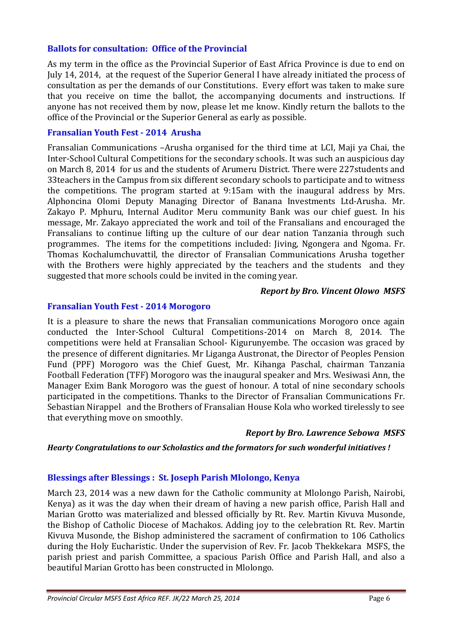#### **Ballots for consultation: Office of the Provincial**

As my term in the office as the Provincial Superior of East Africa Province is due to end on July 14, 2014, at the request of the Superior General I have already initiated the process of consultation as per the demands of our Constitutions. Every effort was taken to make sure that you receive on time the ballot, the accompanying documents and instructions. If anyone has not received them by now, please let me know. Kindly return the ballots to the office of the Provincial or the Superior General as early as possible.

#### **Fransalian Youth Fest - 2014 Arusha**

Fransalian Communications –Arusha organised for the third time at LCI, Maji ya Chai, the Inter-School Cultural Competitions for the secondary schools. It was such an auspicious day on March 8, 2014 for us and the students of Arumeru District. There were 227students and 33teachers in the Campus from six different secondary schools to participate and to witness the competitions. The program started at 9:15am with the inaugural address by Mrs. Alphoncina Olomi Deputy Managing Director of Banana Investments Ltd-Arusha. Mr. Zakayo P. Mphuru, Internal Auditor Meru community Bank was our chief guest. In his message, Mr. Zakayo appreciated the work and toil of the Fransalians and encouraged the Fransalians to continue lifting up the culture of our dear nation Tanzania through such programmes. The items for the competitions included: Jiving, Ngongera and Ngoma. Fr. Thomas Kochalumchuvattil, the director of Fransalian Communications Arusha together with the Brothers were highly appreciated by the teachers and the students and they suggested that more schools could be invited in the coming year.

#### *Report by Bro. Vincent Olowo MSFS*

#### **Fransalian Youth Fest - 2014 Morogoro**

It is a pleasure to share the news that Fransalian communications Morogoro once again conducted the Inter-School Cultural Competitions-2014 on March 8, 2014. The competitions were held at Fransalian School- Kigurunyembe. The occasion was graced by the presence of different dignitaries. Mr Liganga Austronat, the Director of Peoples Pension Fund (PPF) Morogoro was the Chief Guest, Mr. Kihanga Paschal, chairman Tanzania Football Federation (TFF) Morogoro was the inaugural speaker and Mrs. Wesiwasi Ann, the Manager Exim Bank Morogoro was the guest of honour. A total of nine secondary schools participated in the competitions. Thanks to the Director of Fransalian Communications Fr. Sebastian Nirappel and the Brothers of Fransalian House Kola who worked tirelessly to see that everything move on smoothly.

### *Report by Bro. Lawrence Sebowa MSFS*

#### *Hearty Congratulations to our Scholastics and the formators for such wonderful initiatives !*

#### **Blessings after Blessings : St. Joseph Parish Mlolongo, Kenya**

March 23, 2014 was a new dawn for the Catholic community at Mlolongo Parish, Nairobi, Kenya) as it was the day when their dream of having a new parish office, Parish Hall and Marian Grotto was materialized and blessed officially by Rt. Rev. Martin Kivuva Musonde, the Bishop of Catholic Diocese of Machakos. Adding joy to the celebration Rt. Rev. Martin Kivuva Musonde, the Bishop administered the sacrament of confirmation to 106 Catholics during the Holy Eucharistic. Under the supervision of Rev. Fr. Jacob Thekkekara MSFS, the parish priest and parish Committee, a spacious Parish Office and Parish Hall, and also a beautiful Marian Grotto has been constructed in Mlolongo.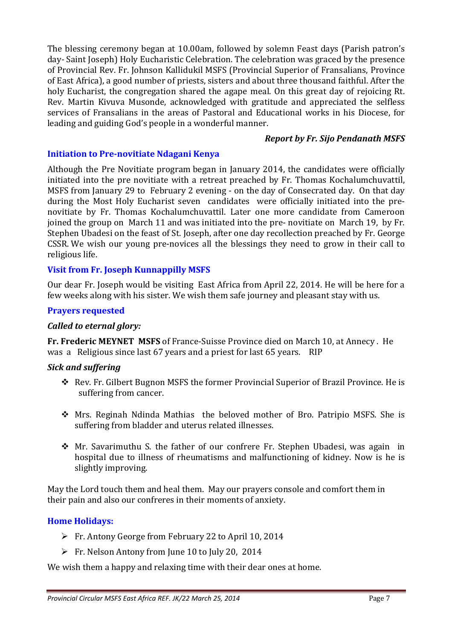The blessing ceremony began at 10.00am, followed by solemn Feast days (Parish patron's day- Saint Joseph) Holy Eucharistic Celebration. The celebration was graced by the presence of Provincial Rev. Fr. Johnson Kallidukil MSFS (Provincial Superior of Fransalians, Province of East Africa), a good number of priests, sisters and about three thousand faithful. After the holy Eucharist, the congregation shared the agape meal. On this great day of rejoicing Rt. Rev. Martin Kivuva Musonde, acknowledged with gratitude and appreciated the selfless services of Fransalians in the areas of Pastoral and Educational works in his Diocese, for leading and guiding God's people in a wonderful manner.

### *Report by Fr. Sijo Pendanath MSFS*

# **Initiation to Pre-novitiate Ndagani Kenya**

Although the Pre Novitiate program began in January 2014, the candidates were officially initiated into the pre novitiate with a retreat preached by Fr. Thomas Kochalumchuvattil, MSFS from January 29 to February 2 evening - on the day of Consecrated day. On that day during the Most Holy Eucharist seven candidates were officially initiated into the prenovitiate by Fr. Thomas Kochalumchuvattil. Later one more candidate from Cameroon joined the group on March 11 and was initiated into the pre- novitiate on March 19, by Fr. Stephen Ubadesi on the feast of St. Joseph, after one day recollection preached by Fr. George CSSR. We wish our young pre-novices all the blessings they need to grow in their call to religious life.

# **Visit from Fr. Joseph Kunnappilly MSFS**

Our dear Fr. Joseph would be visiting East Africa from April 22, 2014. He will be here for a few weeks along with his sister. We wish them safe journey and pleasant stay with us.

## **Prayers requested**

## *Called to eternal glory:*

**Fr. Frederic MEYNET MSFS** of France-Suisse Province died on March 10, at Annecy . He was a Religious since last 67 years and a priest for last 65 years. RIP

## *Sick and suffering*

- Rev. Fr. Gilbert Bugnon MSFS the former Provincial Superior of Brazil Province. He is suffering from cancer.
- Mrs. Reginah Ndinda Mathias the beloved mother of Bro. Patripio MSFS. She is suffering from bladder and uterus related illnesses.
- Mr. Savarimuthu S. the father of our confrere Fr. Stephen Ubadesi, was again in hospital due to illness of rheumatisms and malfunctioning of kidney. Now is he is slightly improving.

May the Lord touch them and heal them. May our prayers console and comfort them in their pain and also our confreres in their moments of anxiety.

## **Home Holidays:**

- ▶ Fr. Antony George from February 22 to April 10, 2014
- Fr. Nelson Antony from June 10 to July 20, 2014

We wish them a happy and relaxing time with their dear ones at home.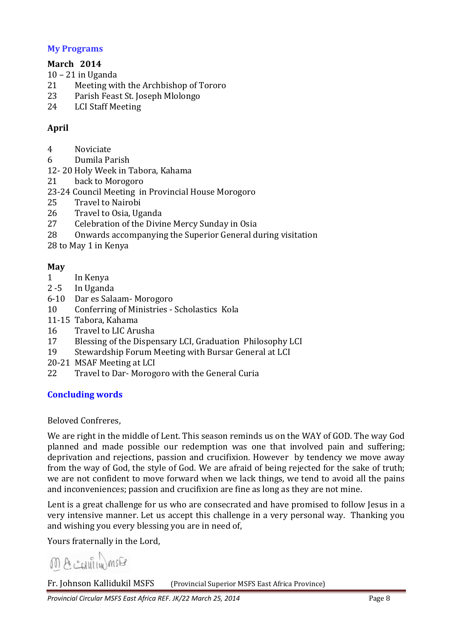## **My Programs**

# **March 2014**

- 10 21 in Uganda
- 21 Meeting with the Archbishop of Tororo
- 23 Parish Feast St. Joseph Mlolongo
- 24 LCI Staff Meeting

# **April**

- 4 Noviciate
- 6 Dumila Parish
- 12- 20 Holy Week in Tabora, Kahama
- 21 back to Morogoro
- 23-24 Council Meeting in Provincial House Morogoro
- 25 Travel to Nairobi
- 26 Travel to Osia, Uganda
- 27 Celebration of the Divine Mercy Sunday in Osia
- 28 Onwards accompanying the Superior General during visitation
- 28 to May 1 in Kenya

## **May**

- 1 In Kenya
- 2 -5 In Uganda
- 6-10 Dar es Salaam- Morogoro
- 10 Conferring of Ministries Scholastics Kola
- 11-15 Tabora, Kahama
- 16 Travel to LIC Arusha
- 17 Blessing of the Dispensary LCI, Graduation Philosophy LCI
- 19 Stewardship Forum Meeting with Bursar General at LCI
- 20-21 MSAF Meeting at LCI
- 22 Travel to Dar- Morogoro with the General Curia

## **Concluding words**

### Beloved Confreres,

We are right in the middle of Lent. This season reminds us on the WAY of GOD. The way God planned and made possible our redemption was one that involved pain and suffering; deprivation and rejections, passion and crucifixion. However by tendency we move away from the way of God, the style of God. We are afraid of being rejected for the sake of truth; we are not confident to move forward when we lack things, we tend to avoid all the pains and inconveniences; passion and crucifixion are fine as long as they are not mine.

Lent is a great challenge for us who are consecrated and have promised to follow Jesus in a very intensive manner. Let us accept this challenge in a very personal way. Thanking you and wishing you every blessing you are in need of,

Yours fraternally in the Lord,

 $M A$   $\in$   $N$  $M$   $M$  $F$ 

Fr. Johnson Kallidukil MSFS (Provincial Superior MSFS East Africa Province)